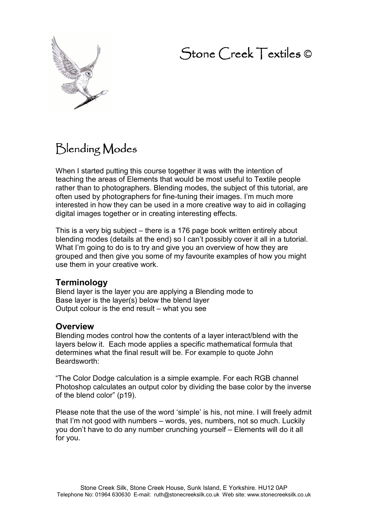# Stone Creek Textiles ©



# Blending Modes

When I started putting this course together it was with the intention of teaching the areas of Elements that would be most useful to Textile people rather than to photographers. Blending modes, the subject of this tutorial, are often used by photographers for fine-tuning their images. I'm much more interested in how they can be used in a more creative way to aid in collaging digital images together or in creating interesting effects.

This is a very big subject – there is a 176 page book written entirely about blending modes (details at the end) so I can't possibly cover it all in a tutorial. What I'm going to do is to try and give you an overview of how they are grouped and then give you some of my favourite examples of how you might use them in your creative work.

### **Terminology**

Blend layer is the layer you are applying a Blending mode to Base layer is the layer(s) below the blend layer Output colour is the end result – what you see

### **Overview**

Blending modes control how the contents of a layer interact/blend with the layers below it. Each mode applies a specific mathematical formula that determines what the final result will be. For example to quote John Beardsworth:

"The Color Dodge calculation is a simple example. For each RGB channel Photoshop calculates an output color by dividing the base color by the inverse of the blend color" (p19).

Please note that the use of the word 'simple' is his, not mine. I will freely admit that I'm not good with numbers – words, yes, numbers, not so much. Luckily you don't have to do any number crunching yourself – Elements will do it all for you.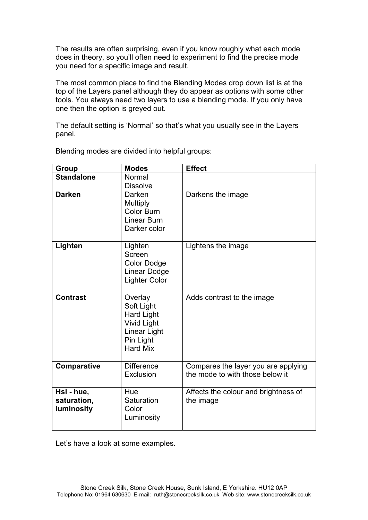The results are often surprising, even if you know roughly what each mode does in theory, so you'll often need to experiment to find the precise mode you need for a specific image and result.

The most common place to find the Blending Modes drop down list is at the top of the Layers panel although they do appear as options with some other tools. You always need two layers to use a blending mode. If you only have one then the option is greyed out.

The default setting is 'Normal' so that's what you usually see in the Layers panel.

| Group                                   | <b>Modes</b>                                                                                                     | <b>Effect</b>                                                          |
|-----------------------------------------|------------------------------------------------------------------------------------------------------------------|------------------------------------------------------------------------|
| <b>Standalone</b>                       | Normal<br><b>Dissolve</b>                                                                                        |                                                                        |
| <b>Darken</b>                           | Darken<br>Multiply<br><b>Color Burn</b><br>Linear Burn<br>Darker color                                           | Darkens the image                                                      |
| Lighten                                 | Lighten<br>Screen<br><b>Color Dodge</b><br><b>Linear Dodge</b><br><b>Lighter Color</b>                           | Lightens the image                                                     |
| <b>Contrast</b>                         | Overlay<br>Soft Light<br><b>Hard Light</b><br><b>Vivid Light</b><br>Linear Light<br>Pin Light<br><b>Hard Mix</b> | Adds contrast to the image                                             |
| Comparative                             | <b>Difference</b><br>Exclusion                                                                                   | Compares the layer you are applying<br>the mode to with those below it |
| HsI - hue,<br>saturation,<br>luminosity | Hue<br>Saturation<br>Color<br>Luminosity                                                                         | Affects the colour and brightness of<br>the image                      |

Blending modes are divided into helpful groups:

Let's have a look at some examples.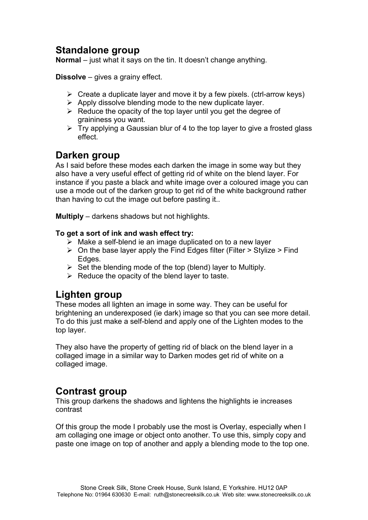# **Standalone group**

**Normal** – just what it says on the tin. It doesn't change anything.

**Dissolve** – gives a grainy effect.

- $\triangleright$  Create a duplicate layer and move it by a few pixels. (ctrl-arrow keys)
- $\triangleright$  Apply dissolve blending mode to the new duplicate layer.
- $\triangleright$  Reduce the opacity of the top layer until you get the degree of graininess you want.
- $\triangleright$  Try applying a Gaussian blur of 4 to the top layer to give a frosted glass effect.

# **Darken group**

As I said before these modes each darken the image in some way but they also have a very useful effect of getting rid of white on the blend layer. For instance if you paste a black and white image over a coloured image you can use a mode out of the darken group to get rid of the white background rather than having to cut the image out before pasting it..

**Multiply** – darkens shadows but not highlights.

#### **To get a sort of ink and wash effect try:**

- $\triangleright$  Make a self-blend ie an image duplicated on to a new layer
- $\triangleright$  On the base layer apply the Find Edges filter (Filter > Stylize > Find Edges.
- $\triangleright$  Set the blending mode of the top (blend) layer to Multiply.
- $\triangleright$  Reduce the opacity of the blend layer to taste.

# **Lighten group**

These modes all lighten an image in some way. They can be useful for brightening an underexposed (ie dark) image so that you can see more detail. To do this just make a self-blend and apply one of the Lighten modes to the top layer.

They also have the property of getting rid of black on the blend layer in a collaged image in a similar way to Darken modes get rid of white on a collaged image.

# **Contrast group**

This group darkens the shadows and lightens the highlights ie increases contrast

Of this group the mode I probably use the most is Overlay, especially when I am collaging one image or object onto another. To use this, simply copy and paste one image on top of another and apply a blending mode to the top one.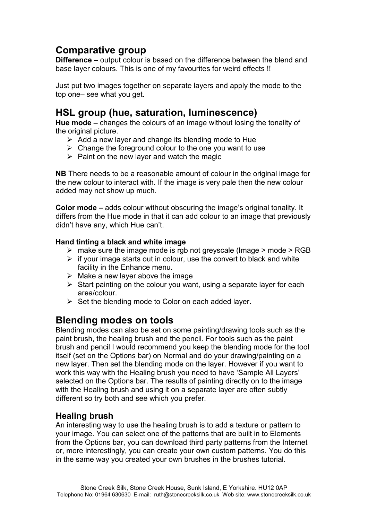# **Comparative group**

**Difference** – output colour is based on the difference between the blend and base layer colours. This is one of my favourites for weird effects !!

Just put two images together on separate layers and apply the mode to the top one– see what you get.

# **HSL group (hue, saturation, luminescence)**

**Hue mode –** changes the colours of an image without losing the tonality of the original picture.

- $\triangleright$  Add a new layer and change its blending mode to Hue
- $\triangleright$  Change the foreground colour to the one you want to use
- $\triangleright$  Paint on the new layer and watch the magic

**NB** There needs to be a reasonable amount of colour in the original image for the new colour to interact with. If the image is very pale then the new colour added may not show up much.

**Color mode –** adds colour without obscuring the image's original tonality. It differs from the Hue mode in that it can add colour to an image that previously didn't have any, which Hue can't.

#### **Hand tinting a black and white image**

- $\triangleright$  make sure the image mode is rgb not greyscale (Image  $>$  mode  $>$  RGB
- $\triangleright$  if your image starts out in colour, use the convert to black and white facility in the Enhance menu.
- $\triangleright$  Make a new layer above the image
- $\triangleright$  Start painting on the colour you want, using a separate layer for each area/colour.
- $\triangleright$  Set the blending mode to Color on each added layer.

# **Blending modes on tools**

Blending modes can also be set on some painting/drawing tools such as the paint brush, the healing brush and the pencil. For tools such as the paint brush and pencil I would recommend you keep the blending mode for the tool itself (set on the Options bar) on Normal and do your drawing/painting on a new layer. Then set the blending mode on the layer. However if you want to work this way with the Healing brush you need to have 'Sample All Layers' selected on the Options bar. The results of painting directly on to the image with the Healing brush and using it on a separate layer are often subtly different so try both and see which you prefer.

## **Healing brush**

An interesting way to use the healing brush is to add a texture or pattern to your image. You can select one of the patterns that are built in to Elements from the Options bar, you can download third party patterns from the Internet or, more interestingly, you can create your own custom patterns. You do this in the same way you created your own brushes in the brushes tutorial.